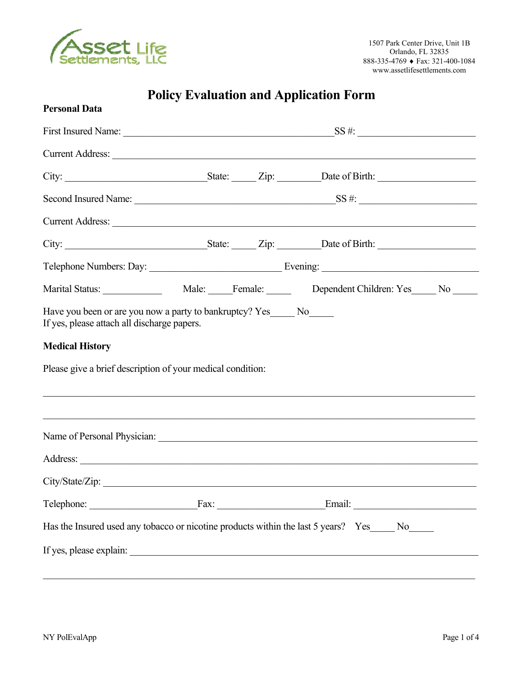

# **Policy Evaluation and Application Form**

| <b>Personal Data</b>                                                                 |  |                                                                                                                                                                       |  |
|--------------------------------------------------------------------------------------|--|-----------------------------------------------------------------------------------------------------------------------------------------------------------------------|--|
|                                                                                      |  |                                                                                                                                                                       |  |
|                                                                                      |  | Current Address: Note and Address and Address and Address and Address and Address and Address and Address and A                                                       |  |
|                                                                                      |  |                                                                                                                                                                       |  |
|                                                                                      |  |                                                                                                                                                                       |  |
|                                                                                      |  | Current Address:                                                                                                                                                      |  |
|                                                                                      |  |                                                                                                                                                                       |  |
|                                                                                      |  |                                                                                                                                                                       |  |
|                                                                                      |  |                                                                                                                                                                       |  |
| <b>Medical History</b><br>Please give a brief description of your medical condition: |  | ,我们也不能在这里的人,我们也不能在这里的人,我们也不能在这里的人,我们也不能在这里的人,我们也不能在这里的人,我们也不能在这里的人,我们也不能在这里的人,我们也<br>,我们也不能在这里的时候,我们也不能在这里的时候,我们也不能不能不能不能不能不能不能不能不能不能不能不能不能不能。""我们的是我们的,我们也不能不能不能不能不能 |  |
|                                                                                      |  |                                                                                                                                                                       |  |
|                                                                                      |  |                                                                                                                                                                       |  |
| City/State/Zip:                                                                      |  |                                                                                                                                                                       |  |
|                                                                                      |  | Telephone: Fax: Fax: Email: Email:                                                                                                                                    |  |
|                                                                                      |  | Has the Insured used any tobacco or nicotine products within the last 5 years? Yes_____ No_____                                                                       |  |
|                                                                                      |  |                                                                                                                                                                       |  |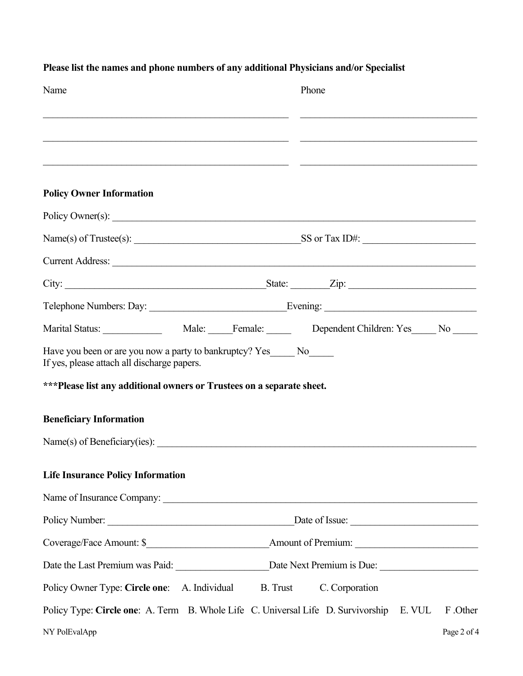| Name                                                                                                                  | Phone                                                                                               |
|-----------------------------------------------------------------------------------------------------------------------|-----------------------------------------------------------------------------------------------------|
|                                                                                                                       |                                                                                                     |
|                                                                                                                       |                                                                                                     |
| <b>Policy Owner Information</b>                                                                                       |                                                                                                     |
|                                                                                                                       | Policy Owner(s):                                                                                    |
|                                                                                                                       |                                                                                                     |
|                                                                                                                       | Current Address:                                                                                    |
|                                                                                                                       |                                                                                                     |
|                                                                                                                       |                                                                                                     |
|                                                                                                                       |                                                                                                     |
| Have you been or are you now a party to bankruptcy? Yes______ No______<br>If yes, please attach all discharge papers. |                                                                                                     |
| ***Please list any additional owners or Trustees on a separate sheet.                                                 |                                                                                                     |
| <b>Beneficiary Information</b>                                                                                        |                                                                                                     |
|                                                                                                                       |                                                                                                     |
| <b>Life Insurance Policy Information</b>                                                                              |                                                                                                     |
|                                                                                                                       |                                                                                                     |
|                                                                                                                       |                                                                                                     |
|                                                                                                                       |                                                                                                     |
|                                                                                                                       |                                                                                                     |
| Policy Owner Type: Circle one: A. Individual                                                                          | B. Trust<br>C. Corporation                                                                          |
|                                                                                                                       | Policy Type: Circle one: A. Term B. Whole Life C. Universal Life D. Survivorship E. VUL<br>F .Other |
| NY PolEvalApp                                                                                                         | Page 2 of 4                                                                                         |

### **Please list the names and phone numbers of any additional Physicians and/or Specialist**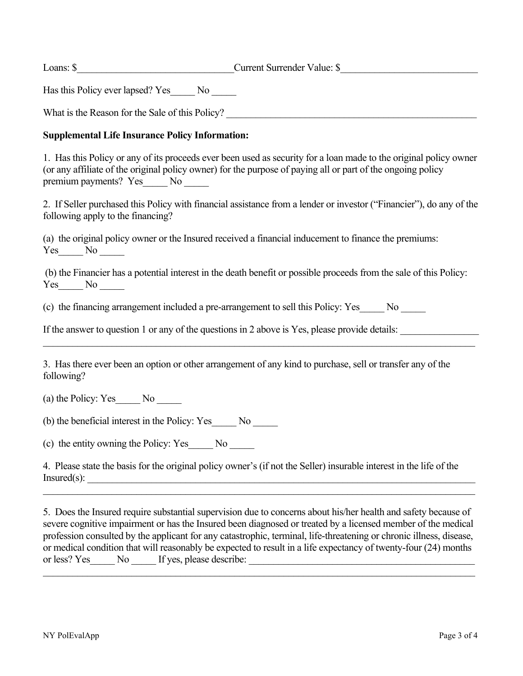Loans: \$\_\_\_\_\_\_\_\_\_\_\_\_\_\_\_\_\_\_\_\_\_\_\_\_\_\_\_\_\_\_\_\_Current Surrender Value: \$\_\_\_\_\_\_\_\_\_\_\_\_\_\_\_\_\_\_\_\_\_\_\_\_\_\_\_\_

Has this Policy ever lapsed? Yes\_\_\_\_\_ No \_\_\_\_\_

What is the Reason for the Sale of this Policy?

#### **Supplemental Life Insurance Policy Information:**

1. Has this Policy or any of its proceeds ever been used as security for a loan made to the original policy owner (or any affiliate of the original policy owner) for the purpose of paying all or part of the ongoing policy premium payments? Yes\_\_\_\_\_ No \_\_\_\_\_

2. If Seller purchased this Policy with financial assistance from a lender or investor ("Financier"), do any of the following apply to the financing?

(a) the original policy owner or the Insured received a financial inducement to finance the premiums: Yes No

(b) the Financier has a potential interest in the death benefit or possible proceeds from the sale of this Policy:  $Yes$  No  $\_\_$ 

(c) the financing arrangement included a pre-arrangement to sell this Policy: Yes\_\_\_\_\_ No \_\_\_\_\_

If the answer to question 1 or any of the questions in 2 above is Yes, please provide details:

 $\_$  , and the contribution of the contribution of the contribution of the contribution of the contribution of  $\mathcal{L}_\text{max}$ 

3. Has there ever been an option or other arrangement of any kind to purchase, sell or transfer any of the following?

(a) the Policy: Yes No

(b) the beneficial interest in the Policy: Yes\_\_\_\_\_ No \_\_\_\_\_

(c) the entity owning the Policy: Yes\_\_\_\_\_ No \_\_\_\_\_

4. Please state the basis for the original policy owner's (if not the Seller) insurable interest in the life of the  $Insured(s):$ 

5. Does the Insured require substantial supervision due to concerns about his/her health and safety because of severe cognitive impairment or has the Insured been diagnosed or treated by a licensed member of the medical profession consulted by the applicant for any catastrophic, terminal, life-threatening or chronic illness, disease, or medical condition that will reasonably be expected to result in a life expectancy of twenty-four (24) months or less? Yes No If yes, please describe:

 $\mathcal{L}_\mathcal{L} = \{ \mathcal{L}_\mathcal{L} = \{ \mathcal{L}_\mathcal{L} = \{ \mathcal{L}_\mathcal{L} = \{ \mathcal{L}_\mathcal{L} = \{ \mathcal{L}_\mathcal{L} = \{ \mathcal{L}_\mathcal{L} = \{ \mathcal{L}_\mathcal{L} = \{ \mathcal{L}_\mathcal{L} = \{ \mathcal{L}_\mathcal{L} = \{ \mathcal{L}_\mathcal{L} = \{ \mathcal{L}_\mathcal{L} = \{ \mathcal{L}_\mathcal{L} = \{ \mathcal{L}_\mathcal{L} = \{ \mathcal{L}_\mathcal{$ 

 $\_$  , and the contribution of the contribution of the contribution of the contribution of the contribution of  $\mathcal{L}_\text{max}$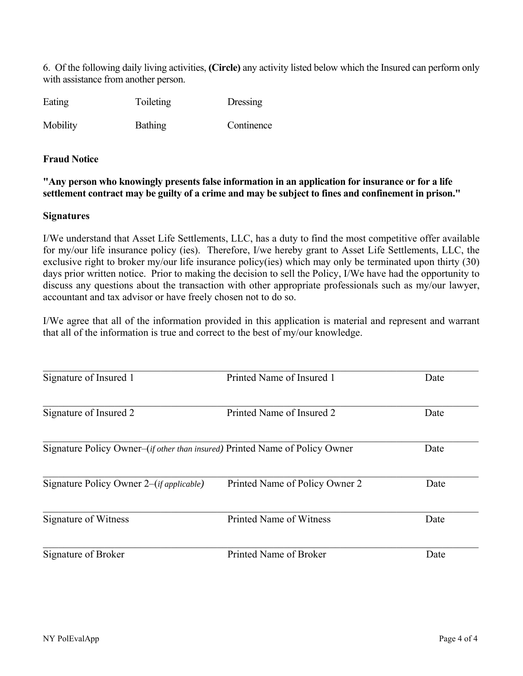6. Of the following daily living activities, **(Circle)** any activity listed below which the Insured can perform only with assistance from another person.

| Eating | Toileting | Dressing |
|--------|-----------|----------|
|        |           |          |

Mobility Bathing Continence

#### **Fraud Notice**

**"Any person who knowingly presents false information in an application for insurance or for a life settlement contract may be guilty of a crime and may be subject to fines and confinement in prison."** 

#### **Signatures**

I/We understand that Asset Life Settlements, LLC, has a duty to find the most competitive offer available for my/our life insurance policy (ies). Therefore, I/we hereby grant to Asset Life Settlements, LLC, the exclusive right to broker my/our life insurance policy(ies) which may only be terminated upon thirty (30) days prior written notice. Prior to making the decision to sell the Policy, I/We have had the opportunity to discuss any questions about the transaction with other appropriate professionals such as my/our lawyer, accountant and tax advisor or have freely chosen not to do so.

I/We agree that all of the information provided in this application is material and represent and warrant that all of the information is true and correct to the best of my/our knowledge.

| Signature of Insured 1                                                               | Printed Name of Insured 1      | Date |
|--------------------------------------------------------------------------------------|--------------------------------|------|
|                                                                                      |                                |      |
| Signature of Insured 2                                                               | Printed Name of Insured 2      | Date |
| Signature Policy Owner–( <i>if other than insured</i> ) Printed Name of Policy Owner |                                | Date |
| Signature Policy Owner 2–( <i>if applicable</i> )                                    | Printed Name of Policy Owner 2 | Date |
| Signature of Witness                                                                 | Printed Name of Witness        | Date |
| Signature of Broker                                                                  | Printed Name of Broker         | Date |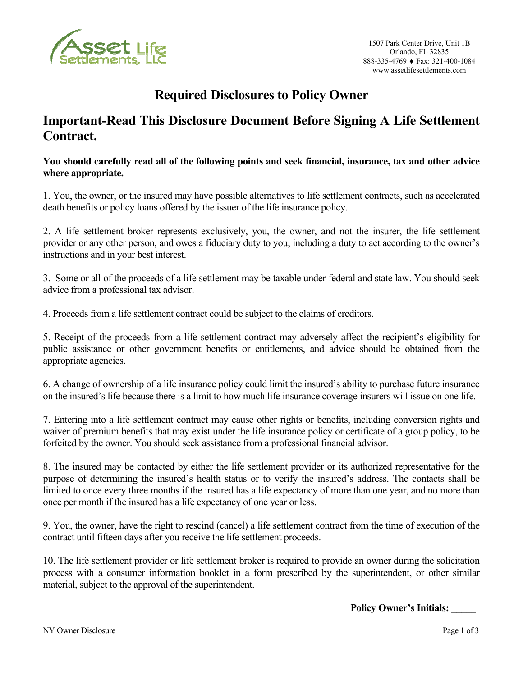

# **Required Disclosures to Policy Owner**

### **Important-Read This Disclosure Document Before Signing A Life Settlement Contract.**

#### **You should carefully read all of the following points and seek financial, insurance, tax and other advice where appropriate.**

1. You, the owner, or the insured may have possible alternatives to life settlement contracts, such as accelerated death benefits or policy loans offered by the issuer of the life insurance policy.

2. A life settlement broker represents exclusively, you, the owner, and not the insurer, the life settlement provider or any other person, and owes a fiduciary duty to you, including a duty to act according to the owner's instructions and in your best interest.

3. Some or all of the proceeds of a life settlement may be taxable under federal and state law. You should seek advice from a professional tax advisor.

4. Proceeds from a life settlement contract could be subject to the claims of creditors.

5. Receipt of the proceeds from a life settlement contract may adversely affect the recipient's eligibility for public assistance or other government benefits or entitlements, and advice should be obtained from the appropriate agencies.

6. A change of ownership of a life insurance policy could limit the insured's ability to purchase future insurance on the insured's life because there is a limit to how much life insurance coverage insurers will issue on one life.

7. Entering into a life settlement contract may cause other rights or benefits, including conversion rights and waiver of premium benefits that may exist under the life insurance policy or certificate of a group policy, to be forfeited by the owner. You should seek assistance from a professional financial advisor.

8. The insured may be contacted by either the life settlement provider or its authorized representative for the purpose of determining the insured's health status or to verify the insured's address. The contacts shall be limited to once every three months if the insured has a life expectancy of more than one year, and no more than once per month if the insured has a life expectancy of one year or less.

9. You, the owner, have the right to rescind (cancel) a life settlement contract from the time of execution of the contract until fifteen days after you receive the life settlement proceeds.

10. The life settlement provider or life settlement broker is required to provide an owner during the solicitation process with a consumer information booklet in a form prescribed by the superintendent, or other similar material, subject to the approval of the superintendent.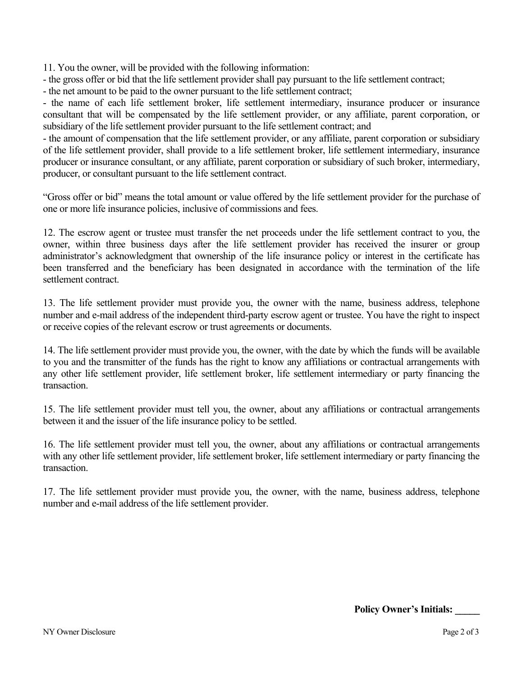11. You the owner, will be provided with the following information:

- the gross offer or bid that the life settlement provider shall pay pursuant to the life settlement contract;

- the net amount to be paid to the owner pursuant to the life settlement contract;

- the name of each life settlement broker, life settlement intermediary, insurance producer or insurance consultant that will be compensated by the life settlement provider, or any affiliate, parent corporation, or subsidiary of the life settlement provider pursuant to the life settlement contract; and

- the amount of compensation that the life settlement provider, or any affiliate, parent corporation or subsidiary of the life settlement provider, shall provide to a life settlement broker, life settlement intermediary, insurance producer or insurance consultant, or any affiliate, parent corporation or subsidiary of such broker, intermediary, producer, or consultant pursuant to the life settlement contract.

"Gross offer or bid" means the total amount or value offered by the life settlement provider for the purchase of one or more life insurance policies, inclusive of commissions and fees.

12. The escrow agent or trustee must transfer the net proceeds under the life settlement contract to you, the owner, within three business days after the life settlement provider has received the insurer or group administrator's acknowledgment that ownership of the life insurance policy or interest in the certificate has been transferred and the beneficiary has been designated in accordance with the termination of the life settlement contract.

13. The life settlement provider must provide you, the owner with the name, business address, telephone number and e-mail address of the independent third-party escrow agent or trustee. You have the right to inspect or receive copies of the relevant escrow or trust agreements or documents.

14. The life settlement provider must provide you, the owner, with the date by which the funds will be available to you and the transmitter of the funds has the right to know any affiliations or contractual arrangements with any other life settlement provider, life settlement broker, life settlement intermediary or party financing the transaction.

15. The life settlement provider must tell you, the owner, about any affiliations or contractual arrangements between it and the issuer of the life insurance policy to be settled.

16. The life settlement provider must tell you, the owner, about any affiliations or contractual arrangements with any other life settlement provider, life settlement broker, life settlement intermediary or party financing the transaction.

17. The life settlement provider must provide you, the owner, with the name, business address, telephone number and e-mail address of the life settlement provider.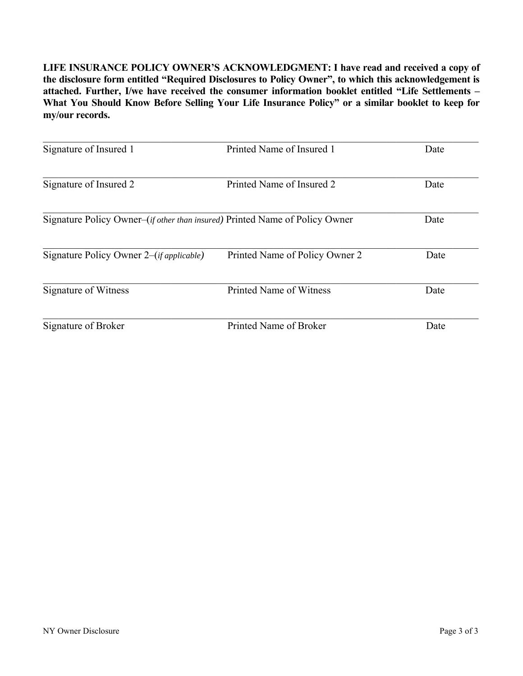**LIFE INSURANCE POLICY OWNER'S ACKNOWLEDGMENT: I have read and received a copy of the disclosure form entitled "Required Disclosures to Policy Owner", to which this acknowledgement is attached. Further, I/we have received the consumer information booklet entitled "Life Settlements – What You Should Know Before Selling Your Life Insurance Policy" or a similar booklet to keep for my/our records.**

| Signature of Insured 1                                                               | Printed Name of Insured 1      | Date |
|--------------------------------------------------------------------------------------|--------------------------------|------|
| Signature of Insured 2                                                               | Printed Name of Insured 2      | Date |
| Signature Policy Owner–( <i>if other than insured</i> ) Printed Name of Policy Owner |                                | Date |
| Signature Policy Owner 2–( <i>if applicable</i> )                                    | Printed Name of Policy Owner 2 | Date |
| Signature of Witness                                                                 | Printed Name of Witness        | Date |
| Signature of Broker                                                                  | Printed Name of Broker         | Date |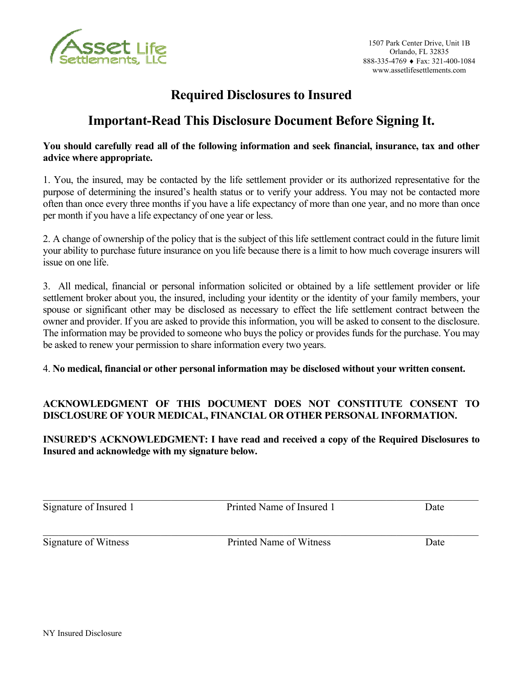

# **Required Disclosures to Insured**

### **Important-Read This Disclosure Document Before Signing It.**

#### **You should carefully read all of the following information and seek financial, insurance, tax and other advice where appropriate.**

1. You, the insured, may be contacted by the life settlement provider or its authorized representative for the purpose of determining the insured's health status or to verify your address. You may not be contacted more often than once every three months if you have a life expectancy of more than one year, and no more than once per month if you have a life expectancy of one year or less.

2. A change of ownership of the policy that is the subject of this life settlement contract could in the future limit your ability to purchase future insurance on you life because there is a limit to how much coverage insurers will issue on one life.

3. All medical, financial or personal information solicited or obtained by a life settlement provider or life settlement broker about you, the insured, including your identity or the identity of your family members, your spouse or significant other may be disclosed as necessary to effect the life settlement contract between the owner and provider. If you are asked to provide this information, you will be asked to consent to the disclosure. The information may be provided to someone who buys the policy or provides funds for the purchase. You may be asked to renew your permission to share information every two years.

### 4. **No medical, financial or other personal information may be disclosed without your written consent.**

### **ACKNOWLEDGMENT OF THIS DOCUMENT DOES NOT CONSTITUTE CONSENT TO DISCLOSURE OF YOUR MEDICAL, FINANCIAL OR OTHER PERSONAL INFORMATION.**

### **INSURED'S ACKNOWLEDGMENT: I have read and received a copy of the Required Disclosures to Insured and acknowledge with my signature below.**

 $\_$  , and the contribution of the contribution of the contribution of the contribution of  $\mathcal{L}_\text{max}$ 

 $\mathcal{L}_\mathcal{L} = \{ \mathcal{L}_\mathcal{L} = \{ \mathcal{L}_\mathcal{L} = \{ \mathcal{L}_\mathcal{L} = \{ \mathcal{L}_\mathcal{L} = \{ \mathcal{L}_\mathcal{L} = \{ \mathcal{L}_\mathcal{L} = \{ \mathcal{L}_\mathcal{L} = \{ \mathcal{L}_\mathcal{L} = \{ \mathcal{L}_\mathcal{L} = \{ \mathcal{L}_\mathcal{L} = \{ \mathcal{L}_\mathcal{L} = \{ \mathcal{L}_\mathcal{L} = \{ \mathcal{L}_\mathcal{L} = \{ \mathcal{L}_\mathcal{$ 

Signature of Insured 1 Printed Name of Insured 1 Date

Signature of Witness Printed Name of Witness Date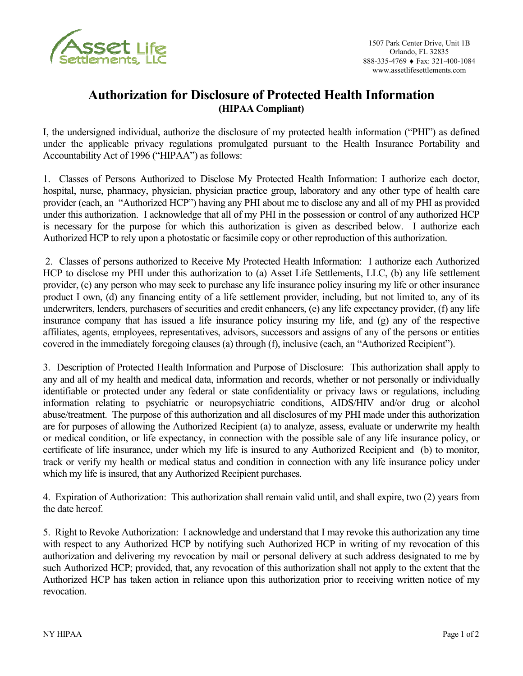

### **Authorization for Disclosure of Protected Health Information (HIPAA Compliant)**

I, the undersigned individual, authorize the disclosure of my protected health information ("PHI") as defined under the applicable privacy regulations promulgated pursuant to the Health Insurance Portability and Accountability Act of 1996 ("HIPAA") as follows:

1. Classes of Persons Authorized to Disclose My Protected Health Information: I authorize each doctor, hospital, nurse, pharmacy, physician, physician practice group, laboratory and any other type of health care provider (each, an "Authorized HCP") having any PHI about me to disclose any and all of my PHI as provided under this authorization. I acknowledge that all of my PHI in the possession or control of any authorized HCP is necessary for the purpose for which this authorization is given as described below. I authorize each Authorized HCP to rely upon a photostatic or facsimile copy or other reproduction of this authorization.

 2. Classes of persons authorized to Receive My Protected Health Information: I authorize each Authorized HCP to disclose my PHI under this authorization to (a) Asset Life Settlements, LLC, (b) any life settlement provider, (c) any person who may seek to purchase any life insurance policy insuring my life or other insurance product I own, (d) any financing entity of a life settlement provider, including, but not limited to, any of its underwriters, lenders, purchasers of securities and credit enhancers, (e) any life expectancy provider, (f) any life insurance company that has issued a life insurance policy insuring my life, and (g) any of the respective affiliates, agents, employees, representatives, advisors, successors and assigns of any of the persons or entities covered in the immediately foregoing clauses (a) through (f), inclusive (each, an "Authorized Recipient").

3. Description of Protected Health Information and Purpose of Disclosure: This authorization shall apply to any and all of my health and medical data, information and records, whether or not personally or individually identifiable or protected under any federal or state confidentiality or privacy laws or regulations, including information relating to psychiatric or neuropsychiatric conditions, AIDS/HIV and/or drug or alcohol abuse/treatment. The purpose of this authorization and all disclosures of my PHI made under this authorization are for purposes of allowing the Authorized Recipient (a) to analyze, assess, evaluate or underwrite my health or medical condition, or life expectancy, in connection with the possible sale of any life insurance policy, or certificate of life insurance, under which my life is insured to any Authorized Recipient and (b) to monitor, track or verify my health or medical status and condition in connection with any life insurance policy under which my life is insured, that any Authorized Recipient purchases.

4. Expiration of Authorization: This authorization shall remain valid until, and shall expire, two (2) years from the date hereof.

5. Right to Revoke Authorization: I acknowledge and understand that I may revoke this authorization any time with respect to any Authorized HCP by notifying such Authorized HCP in writing of my revocation of this authorization and delivering my revocation by mail or personal delivery at such address designated to me by such Authorized HCP; provided, that, any revocation of this authorization shall not apply to the extent that the Authorized HCP has taken action in reliance upon this authorization prior to receiving written notice of my revocation.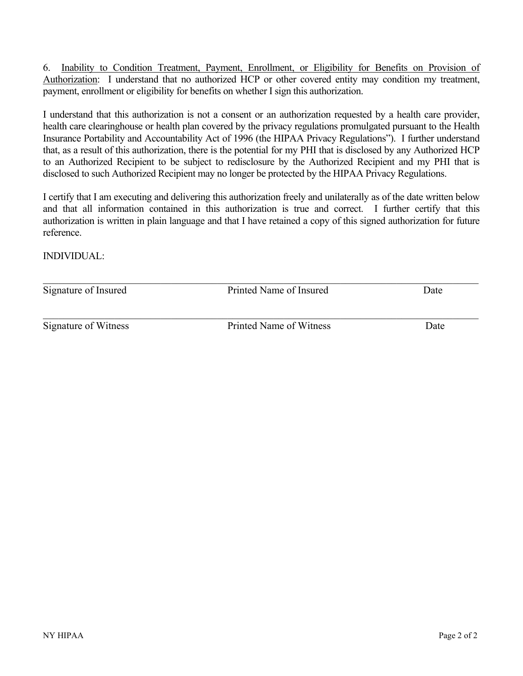6. Inability to Condition Treatment, Payment, Enrollment, or Eligibility for Benefits on Provision of Authorization: I understand that no authorized HCP or other covered entity may condition my treatment, payment, enrollment or eligibility for benefits on whether I sign this authorization.

I understand that this authorization is not a consent or an authorization requested by a health care provider, health care clearinghouse or health plan covered by the privacy regulations promulgated pursuant to the Health Insurance Portability and Accountability Act of 1996 (the HIPAA Privacy Regulations"). I further understand that, as a result of this authorization, there is the potential for my PHI that is disclosed by any Authorized HCP to an Authorized Recipient to be subject to redisclosure by the Authorized Recipient and my PHI that is disclosed to such Authorized Recipient may no longer be protected by the HIPAA Privacy Regulations.

I certify that I am executing and delivering this authorization freely and unilaterally as of the date written below and that all information contained in this authorization is true and correct. I further certify that this authorization is written in plain language and that I have retained a copy of this signed authorization for future reference.

INDIVIDUAL:

| Signature of Insured | Printed Name of Insured | Date |  |
|----------------------|-------------------------|------|--|
| Signature of Witness | Printed Name of Witness | Date |  |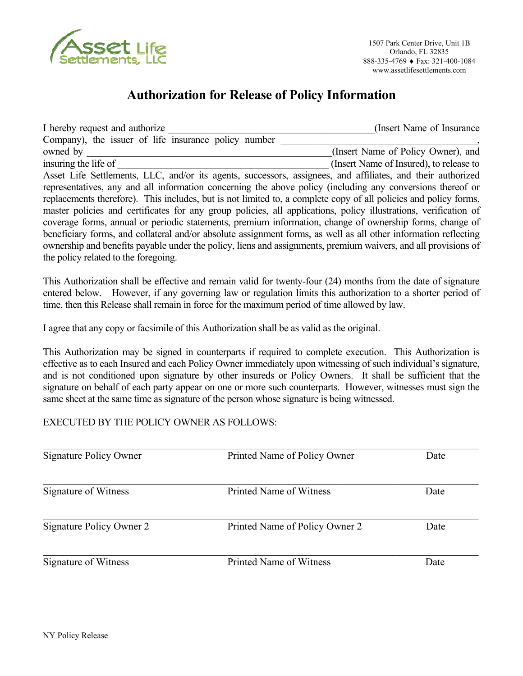

# **Authorization for Release of Policy Information**

I hereby request and authorize **I** hereby request and authorize **I** hereby request and authorize Company), the issuer of life insurance policy number owned by  $(Insert Name of Policy Owner)$ , and insuring the life of  $\Box$  (Insert Name of Insured), to release to Asset Life Settlements, LLC, and/or its agents, successors, assignees, and affiliates, and their authorized representatives, any and all information concerning the above policy (including any conversions thereof or replacements therefore). This includes, but is not limited to, a complete copy of all policies and policy forms, master policies and certificates for any group policies, all applications, policy illustrations, verification of coverage forms, annual or periodic statements, premium information, change of ownership forms, change of beneficiary forms, and collateral and/or absolute assignment forms, as well as all other information reflecting ownership and benefits payable under the policy, liens and assignments, premium waivers, and all provisions of the policy related to the foregoing.

This Authorization shall be effective and remain valid for twenty-four (24) months from the date of signature entered below. However, if any governing law or regulation limits this authorization to a shorter period of time, then this Release shall remain in force for the maximum period of time allowed by law.

I agree that any copy or facsimile of this Authorization shall be as valid as the original.

This Authorization may be signed in counterparts if required to complete execution. This Authorization is effective as to each Insured and each Policy Owner immediately upon witnessing of such individual's signature, and is not conditioned upon signature by other insureds or Policy Owners. It shall be sufficient that the signature on behalf of each party appear on one or more such counterparts. However, witnesses must sign the same sheet at the same time as signature of the person whose signature is being witnessed.

### EXECUTED BY THE POLICY OWNER AS FOLLOWS:

| Signature Policy Owner   | Printed Name of Policy Owner   | Date |  |
|--------------------------|--------------------------------|------|--|
| Signature of Witness     | Printed Name of Witness        | Date |  |
| Signature Policy Owner 2 | Printed Name of Policy Owner 2 | Date |  |
| Signature of Witness     | Printed Name of Witness        | Date |  |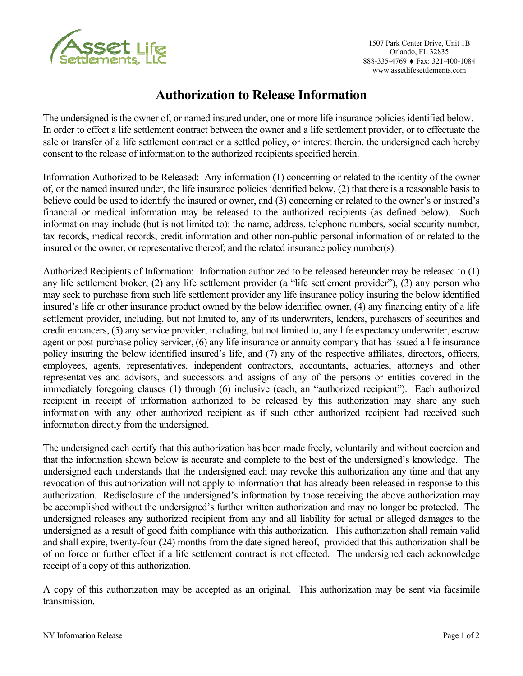

### **Authorization to Release Information**

The undersigned is the owner of, or named insured under, one or more life insurance policies identified below. In order to effect a life settlement contract between the owner and a life settlement provider, or to effectuate the sale or transfer of a life settlement contract or a settled policy, or interest therein, the undersigned each hereby consent to the release of information to the authorized recipients specified herein.

Information Authorized to be Released: Any information (1) concerning or related to the identity of the owner of, or the named insured under, the life insurance policies identified below, (2) that there is a reasonable basis to believe could be used to identify the insured or owner, and (3) concerning or related to the owner's or insured's financial or medical information may be released to the authorized recipients (as defined below). Such information may include (but is not limited to): the name, address, telephone numbers, social security number, tax records, medical records, credit information and other non-public personal information of or related to the insured or the owner, or representative thereof; and the related insurance policy number(s).

Authorized Recipients of Information: Information authorized to be released hereunder may be released to (1) any life settlement broker, (2) any life settlement provider (a "life settlement provider"), (3) any person who may seek to purchase from such life settlement provider any life insurance policy insuring the below identified insured's life or other insurance product owned by the below identified owner, (4) any financing entity of a life settlement provider, including, but not limited to, any of its underwriters, lenders, purchasers of securities and credit enhancers, (5) any service provider, including, but not limited to, any life expectancy underwriter, escrow agent or post-purchase policy servicer, (6) any life insurance or annuity company that has issued a life insurance policy insuring the below identified insured's life, and (7) any of the respective affiliates, directors, officers, employees, agents, representatives, independent contractors, accountants, actuaries, attorneys and other representatives and advisors, and successors and assigns of any of the persons or entities covered in the immediately foregoing clauses (1) through (6) inclusive (each, an "authorized recipient"). Each authorized recipient in receipt of information authorized to be released by this authorization may share any such information with any other authorized recipient as if such other authorized recipient had received such information directly from the undersigned.

The undersigned each certify that this authorization has been made freely, voluntarily and without coercion and that the information shown below is accurate and complete to the best of the undersigned's knowledge. The undersigned each understands that the undersigned each may revoke this authorization any time and that any revocation of this authorization will not apply to information that has already been released in response to this authorization. Redisclosure of the undersigned's information by those receiving the above authorization may be accomplished without the undersigned's further written authorization and may no longer be protected. The undersigned releases any authorized recipient from any and all liability for actual or alleged damages to the undersigned as a result of good faith compliance with this authorization. This authorization shall remain valid and shall expire, twenty-four (24) months from the date signed hereof, provided that this authorization shall be of no force or further effect if a life settlement contract is not effected. The undersigned each acknowledge receipt of a copy of this authorization.

A copy of this authorization may be accepted as an original. This authorization may be sent via facsimile transmission.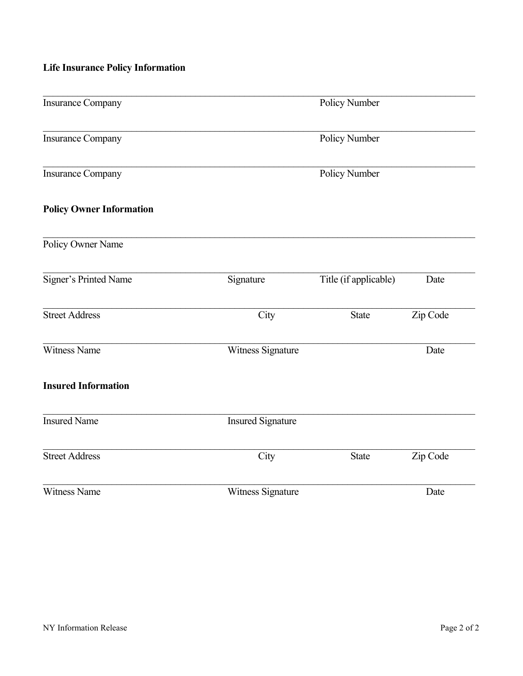# **Life Insurance Policy Information**

| <b>Insurance Company</b>        |                          | Policy Number         |          |
|---------------------------------|--------------------------|-----------------------|----------|
| <b>Insurance Company</b>        |                          | Policy Number         |          |
| <b>Insurance Company</b>        |                          | Policy Number         |          |
| <b>Policy Owner Information</b> |                          |                       |          |
| Policy Owner Name               |                          |                       |          |
| Signer's Printed Name           | Signature                | Title (if applicable) | Date     |
| <b>Street Address</b>           | City                     | <b>State</b>          | Zip Code |
| Witness Name                    | Witness Signature        |                       | Date     |
| <b>Insured Information</b>      |                          |                       |          |
| <b>Insured Name</b>             | <b>Insured Signature</b> |                       |          |
| <b>Street Address</b>           | City                     | <b>State</b>          | Zip Code |
| Witness Name                    | Witness Signature        |                       | Date     |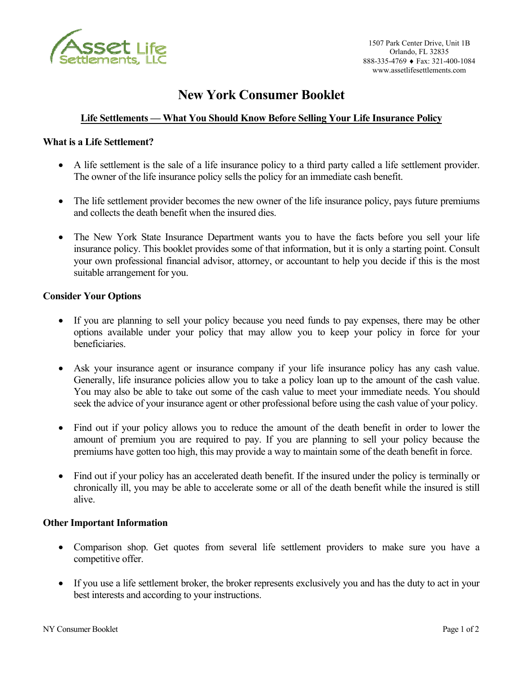

### **New York Consumer Booklet**

### **Life Settlements — What You Should Know Before Selling Your Life Insurance Policy**

#### **What is a Life Settlement?**

- A life settlement is the sale of a life insurance policy to a third party called a life settlement provider. The owner of the life insurance policy sells the policy for an immediate cash benefit.
- The life settlement provider becomes the new owner of the life insurance policy, pays future premiums and collects the death benefit when the insured dies.
- The New York State Insurance Department wants you to have the facts before you sell your life insurance policy. This booklet provides some of that information, but it is only a starting point. Consult your own professional financial advisor, attorney, or accountant to help you decide if this is the most suitable arrangement for you.

#### **Consider Your Options**

- If you are planning to sell your policy because you need funds to pay expenses, there may be other options available under your policy that may allow you to keep your policy in force for your beneficiaries.
- Ask your insurance agent or insurance company if your life insurance policy has any cash value. Generally, life insurance policies allow you to take a policy loan up to the amount of the cash value. You may also be able to take out some of the cash value to meet your immediate needs. You should seek the advice of your insurance agent or other professional before using the cash value of your policy.
- Find out if your policy allows you to reduce the amount of the death benefit in order to lower the amount of premium you are required to pay. If you are planning to sell your policy because the premiums have gotten too high, this may provide a way to maintain some of the death benefit in force.
- Find out if your policy has an accelerated death benefit. If the insured under the policy is terminally or chronically ill, you may be able to accelerate some or all of the death benefit while the insured is still alive.

#### **Other Important Information**

- Comparison shop. Get quotes from several life settlement providers to make sure you have a competitive offer.
- If you use a life settlement broker, the broker represents exclusively you and has the duty to act in your best interests and according to your instructions.